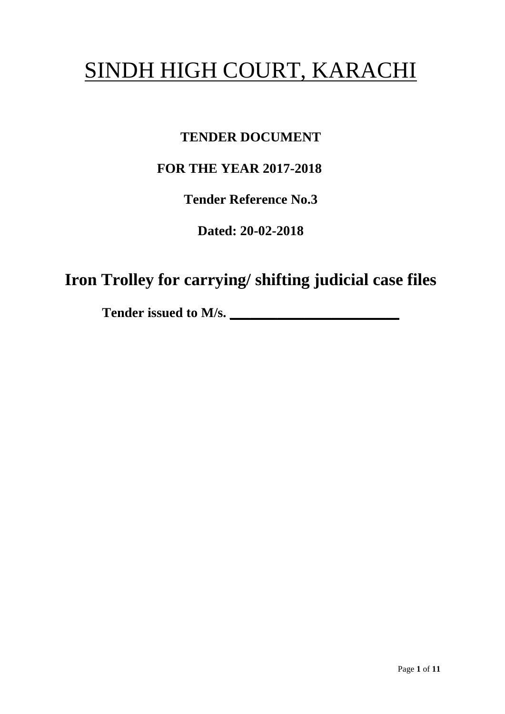# SINDH HIGH COURT, KARACHI

# **TENDER DOCUMENT**

# **FOR THE YEAR 2017-2018**

**Tender Reference No.3**

**Dated: 20-02-2018**

**Iron Trolley for carrying/ shifting judicial case files**

Tender issued to M/s.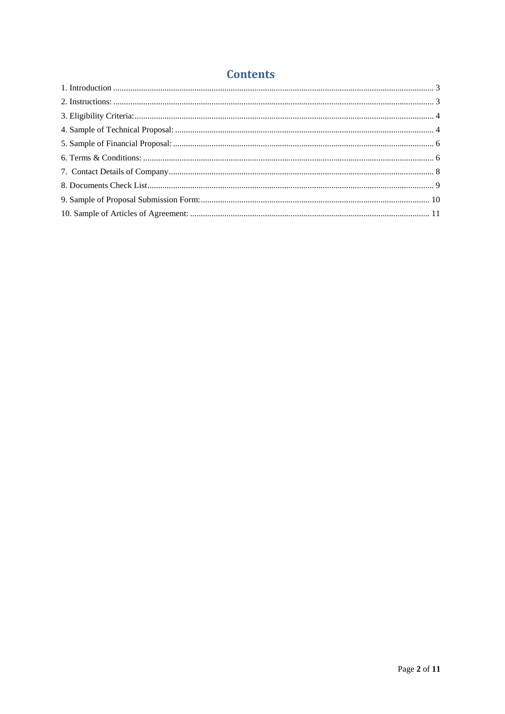## **Contents**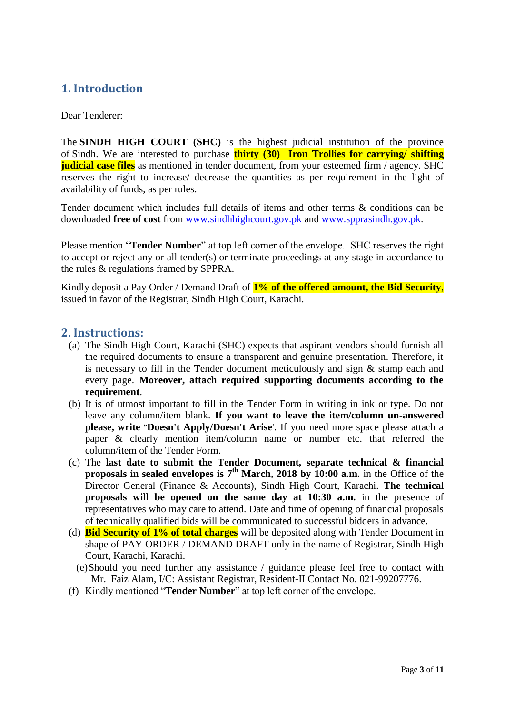## <span id="page-2-0"></span>**1. Introduction**

Dear Tenderer:

The **SINDH HIGH COURT (SHC)** is the highest judicial institution of the province of [Sindh.](https://en.wikipedia.org/wiki/Sindh) We are interested to purchase **thirty (30) Iron Trollies for carrying/ shifting judicial case files** as mentioned in tender document, from your esteemed firm / agency. SHC reserves the right to increase/ decrease the quantities as per requirement in the light of availability of funds, as per rules.

Tender document which includes full details of items and other terms & conditions can be downloaded **free of cost** from [www.sindhhighcourt.gov.pk](http://www.sindhhighcourt.gov.pk/) and [www.spprasindh.gov.pk.](http://www.spprasindh.gov.pk/)

Please mention "**Tender Number**" at top left corner of the envelope. SHC reserves the right to accept or reject any or all tender(s) or terminate proceedings at any stage in accordance to the rules & regulations framed by SPPRA.

Kindly deposit a Pay Order / Demand Draft of **1% of the offered amount, the Bid Security**, issued in favor of the Registrar, Sindh High Court, Karachi.

#### <span id="page-2-1"></span>**2. Instructions:**

- (a) The Sindh High Court, Karachi (SHC) expects that aspirant vendors should furnish all the required documents to ensure a transparent and genuine presentation. Therefore, it is necessary to fill in the Tender document meticulously and sign & stamp each and every page. **Moreover, attach required supporting documents according to the requirement**.
- (b) It is of utmost important to fill in the Tender Form in writing in ink or type. Do not leave any column/item blank. **If you want to leave the item/column un-answered please, write "Doesn't Apply/Doesn't Arise**'. If you need more space please attach a paper & clearly mention item/column name or number etc. that referred the column/item of the Tender Form.
- (c) The **last date to submit the Tender Document, separate technical & financial proposals in sealed envelopes is 7 th March, 2018 by 10:00 a.m.** in the Office of the Director General (Finance & Accounts), Sindh High Court, Karachi. **The technical proposals will be opened on the same day at 10:30 a.m.** in the presence of representatives who may care to attend. Date and time of opening of financial proposals of technically qualified bids will be communicated to successful bidders in advance.
- (d) **Bid Security of 1% of total charges** will be deposited along with Tender Document in shape of PAY ORDER / DEMAND DRAFT only in the name of Registrar, Sindh High Court, Karachi, Karachi.
- (e)Should you need further any assistance / guidance please feel free to contact with Mr. Faiz Alam, I/C: Assistant Registrar, Resident-II Contact No. 021-99207776.
- (f) Kindly mentioned "**Tender Number**" at top left corner of the envelope.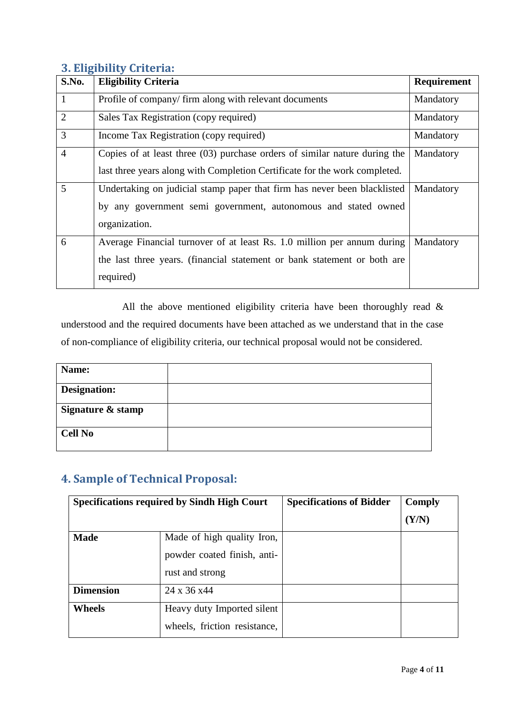#### <span id="page-3-0"></span>**3. Eligibility Criteria:**

| S.No.          | <b>Eligibility Criteria</b>                                                  | <b>Requirement</b> |
|----------------|------------------------------------------------------------------------------|--------------------|
| 1              | Profile of company/firm along with relevant documents                        | Mandatory          |
| $\overline{2}$ | Sales Tax Registration (copy required)                                       | Mandatory          |
| 3              | Income Tax Registration (copy required)                                      | Mandatory          |
| $\overline{4}$ | Copies of at least three $(03)$ purchase orders of similar nature during the | Mandatory          |
|                | last three years along with Completion Certificate for the work completed.   |                    |
| 5              | Undertaking on judicial stamp paper that firm has never been blacklisted     | Mandatory          |
|                | by any government semi government, autonomous and stated owned               |                    |
|                | organization.                                                                |                    |
| 6              | Average Financial turnover of at least Rs. 1.0 million per annum during      | Mandatory          |
|                | the last three years. (financial statement or bank statement or both are     |                    |
|                | required)                                                                    |                    |

All the above mentioned eligibility criteria have been thoroughly read & understood and the required documents have been attached as we understand that in the case of non-compliance of eligibility criteria, our technical proposal would not be considered.

| Name:               |  |
|---------------------|--|
| <b>Designation:</b> |  |
| Signature & stamp   |  |
| <b>Cell No</b>      |  |

## <span id="page-3-1"></span>**4. Sample of Technical Proposal:**

| <b>Specifications required by Sindh High Court</b> |                              | <b>Specifications of Bidder</b> | Comply |
|----------------------------------------------------|------------------------------|---------------------------------|--------|
|                                                    |                              |                                 | (Y/N)  |
| <b>Made</b><br>Made of high quality Iron,          |                              |                                 |        |
|                                                    | powder coated finish, anti-  |                                 |        |
|                                                    | rust and strong              |                                 |        |
| <b>Dimension</b>                                   | 24 x 36 x 44                 |                                 |        |
| <b>Wheels</b>                                      | Heavy duty Imported silent   |                                 |        |
|                                                    | wheels, friction resistance, |                                 |        |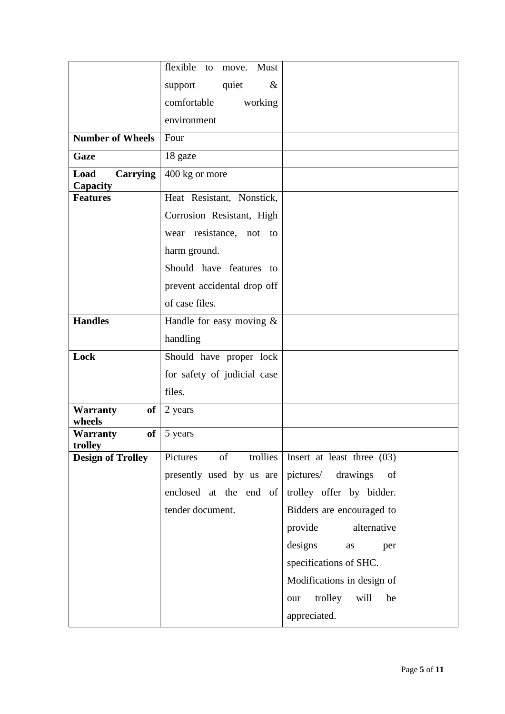|                                        | flexible<br>Must<br>to<br>move.    |                                       |  |
|----------------------------------------|------------------------------------|---------------------------------------|--|
|                                        | $\&$<br>support<br>quiet           |                                       |  |
|                                        | comfortable<br>working             |                                       |  |
|                                        | environment                        |                                       |  |
| <b>Number of Wheels</b>                | Four                               |                                       |  |
| Gaze                                   | 18 gaze                            |                                       |  |
| Load<br>Carrying                       | 400 kg or more                     |                                       |  |
| Capacity<br><b>Features</b>            | Heat Resistant, Nonstick,          |                                       |  |
|                                        | Corrosion Resistant, High          |                                       |  |
|                                        | wear resistance, not<br>to         |                                       |  |
|                                        | harm ground.                       |                                       |  |
|                                        | Should have features to            |                                       |  |
|                                        | prevent accidental drop off        |                                       |  |
|                                        | of case files.                     |                                       |  |
| <b>Handles</b>                         | Handle for easy moving $\&$        |                                       |  |
|                                        |                                    |                                       |  |
|                                        | handling                           |                                       |  |
| Lock                                   | Should have proper lock            |                                       |  |
|                                        | for safety of judicial case        |                                       |  |
|                                        | files.                             |                                       |  |
| <b>of</b><br><b>Warranty</b><br>wheels | 2 years                            |                                       |  |
| <b>of</b><br><b>Warranty</b>           | 5 years                            |                                       |  |
| trolley                                | of<br>Pictures                     | trollies Insert at least three $(03)$ |  |
| <b>Design of Trolley</b>               |                                    |                                       |  |
|                                        | presently used by us are pictures/ | drawings<br>of                        |  |
|                                        | enclosed at the end of             | trolley offer by bidder.              |  |
|                                        | tender document.                   | Bidders are encouraged to             |  |
|                                        |                                    | alternative<br>provide                |  |
|                                        |                                    | designs<br>as<br>per                  |  |
|                                        |                                    | specifications of SHC.                |  |
|                                        |                                    | Modifications in design of            |  |
|                                        |                                    | trolley<br>will<br>be<br>our          |  |
|                                        |                                    | appreciated.                          |  |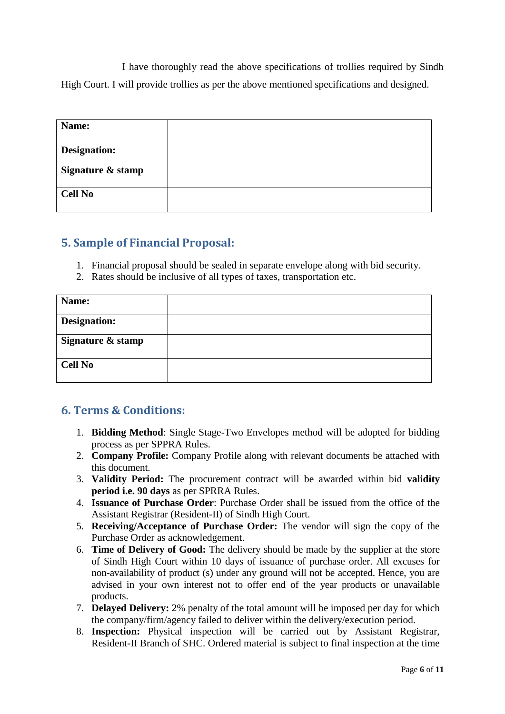I have thoroughly read the above specifications of trollies required by Sindh High Court. I will provide trollies as per the above mentioned specifications and designed.

| Name:               |  |
|---------------------|--|
| <b>Designation:</b> |  |
| Signature & stamp   |  |
| <b>Cell No</b>      |  |

## <span id="page-5-0"></span>**5. Sample of Financial Proposal:**

- 1. Financial proposal should be sealed in separate envelope along with bid security.
- 2. Rates should be inclusive of all types of taxes, transportation etc.

| Name:               |  |
|---------------------|--|
| <b>Designation:</b> |  |
| Signature & stamp   |  |
| <b>Cell No</b>      |  |

#### <span id="page-5-1"></span>**6. Terms & Conditions:**

- 1. **Bidding Method**: Single Stage-Two Envelopes method will be adopted for bidding process as per SPPRA Rules.
- 2. **Company Profile:** Company Profile along with relevant documents be attached with this document.
- 3. **Validity Period:** The procurement contract will be awarded within bid **validity period i.e. 90 days** as per SPRRA Rules.
- 4. **Issuance of Purchase Order**: Purchase Order shall be issued from the office of the Assistant Registrar (Resident-II) of Sindh High Court.
- 5. **Receiving/Acceptance of Purchase Order:** The vendor will sign the copy of the Purchase Order as acknowledgement.
- 6. **Time of Delivery of Good:** The delivery should be made by the supplier at the store of Sindh High Court within 10 days of issuance of purchase order. All excuses for non-availability of product (s) under any ground will not be accepted. Hence, you are advised in your own interest not to offer end of the year products or unavailable products.
- 7. **Delayed Delivery:** 2% penalty of the total amount will be imposed per day for which the company/firm/agency failed to deliver within the delivery/execution period.
- 8. **Inspection:** Physical inspection will be carried out by Assistant Registrar, Resident-II Branch of SHC. Ordered material is subject to final inspection at the time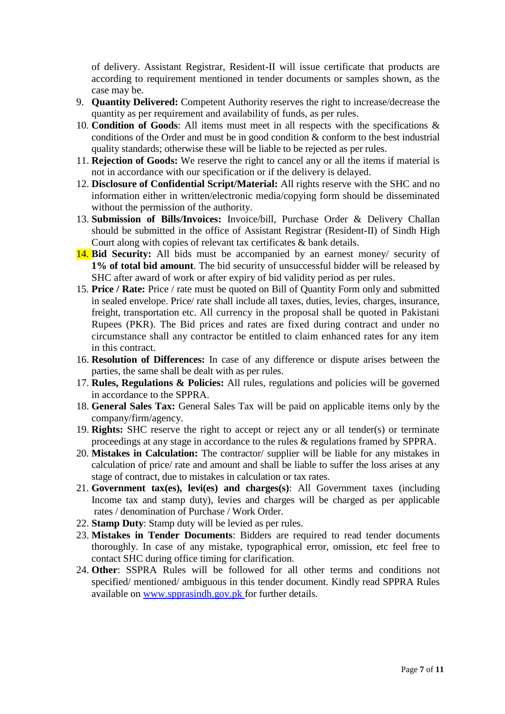of delivery. Assistant Registrar, Resident-II will issue certificate that products are according to requirement mentioned in tender documents or samples shown, as the case may be.

- 9. **Quantity Delivered:** Competent Authority reserves the right to increase/decrease the quantity as per requirement and availability of funds, as per rules.
- 10. **Condition of Goods**: All items must meet in all respects with the specifications & conditions of the Order and must be in good condition & conform to the best industrial quality standards; otherwise these will be liable to be rejected as per rules.
- 11. **Rejection of Goods:** We reserve the right to cancel any or all the items if material is not in accordance with our specification or if the delivery is delayed.
- 12. **Disclosure of Confidential Script/Material:** All rights reserve with the SHC and no information either in written/electronic media/copying form should be disseminated without the permission of the authority.
- 13. **Submission of Bills/Invoices:** Invoice/bill, Purchase Order & Delivery Challan should be submitted in the office of Assistant Registrar (Resident-II) of Sindh High Court along with copies of relevant tax certificates & bank details.
- 14. **Bid Security:** All bids must be accompanied by an earnest money/ security of **1% of total bid amount**. The bid security of unsuccessful bidder will be released by SHC after award of work or after expiry of bid validity period as per rules.
- 15. **Price / Rate:** Price / rate must be quoted on Bill of Quantity Form only and submitted in sealed envelope. Price/ rate shall include all taxes, duties, levies, charges, insurance, freight, transportation etc. All currency in the proposal shall be quoted in Pakistani Rupees (PKR). The Bid prices and rates are fixed during contract and under no circumstance shall any contractor be entitled to claim enhanced rates for any item in this contract.
- 16. **Resolution of Differences:** In case of any difference or dispute arises between the parties, the same shall be dealt with as per rules.
- 17. **Rules, Regulations & Policies:** All rules, regulations and policies will be governed in accordance to the SPPRA.
- 18. **General Sales Tax:** General Sales Tax will be paid on applicable items only by the company/firm/agency.
- 19. **Rights:** SHC reserve the right to accept or reject any or all tender(s) or terminate proceedings at any stage in accordance to the rules & regulations framed by SPPRA.
- 20. **Mistakes in Calculation:** The contractor/ supplier will be liable for any mistakes in calculation of price/ rate and amount and shall be liable to suffer the loss arises at any stage of contract, due to mistakes in calculation or tax rates.
- 21. **Government tax(es), levi(es) and charges(s)**: All Government taxes (including Income tax and stamp duty), levies and charges will be charged as per applicable rates / denomination of Purchase / Work Order.
- 22. **Stamp Duty**: Stamp duty will be levied as per rules.
- 23. **Mistakes in Tender Documents**: Bidders are required to read tender documents thoroughly. In case of any mistake, typographical error, omission, etc feel free to contact SHC during office timing for clarification.
- 24. **Other**: SSPRA Rules will be followed for all other terms and conditions not specified/ mentioned/ ambiguous in this tender document. Kindly read SPPRA Rules available on [www.spprasindh.gov.pk](http://www.spprasindh.gov.pk/) for further details.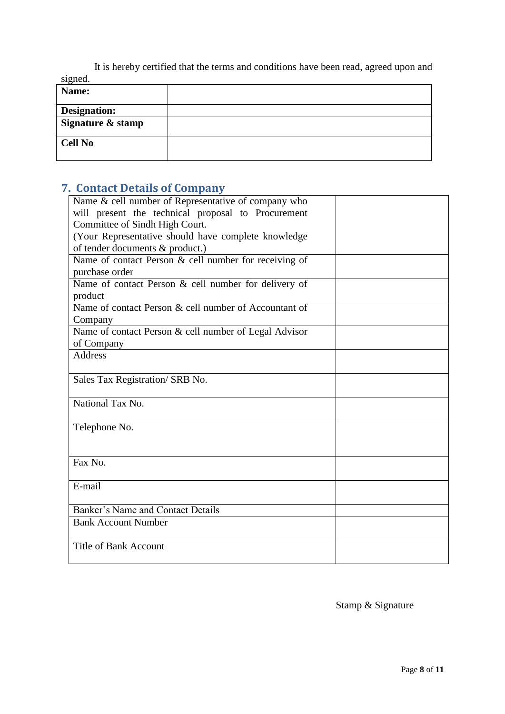It is hereby certified that the terms and conditions have been read, agreed upon and signed.

| $\circ$<br>Name:    |  |
|---------------------|--|
| <b>Designation:</b> |  |
| Signature & stamp   |  |
| <b>Cell No</b>      |  |

# <span id="page-7-0"></span>**7. Contact Details of Company**

| Name & cell number of Representative of company who   |  |
|-------------------------------------------------------|--|
| will present the technical proposal to Procurement    |  |
| Committee of Sindh High Court.                        |  |
| (Your Representative should have complete knowledge)  |  |
| of tender documents & product.)                       |  |
| Name of contact Person & cell number for receiving of |  |
| purchase order                                        |  |
| Name of contact Person & cell number for delivery of  |  |
| product                                               |  |
| Name of contact Person & cell number of Accountant of |  |
| Company                                               |  |
| Name of contact Person & cell number of Legal Advisor |  |
| of Company                                            |  |
| <b>Address</b>                                        |  |
|                                                       |  |
| Sales Tax Registration/ SRB No.                       |  |
|                                                       |  |
| National Tax No.                                      |  |
|                                                       |  |
| Telephone No.                                         |  |
|                                                       |  |
|                                                       |  |
| Fax No.                                               |  |
|                                                       |  |
| E-mail                                                |  |
|                                                       |  |
| Banker's Name and Contact Details                     |  |
| <b>Bank Account Number</b>                            |  |
|                                                       |  |
| <b>Title of Bank Account</b>                          |  |
|                                                       |  |

Stamp & Signature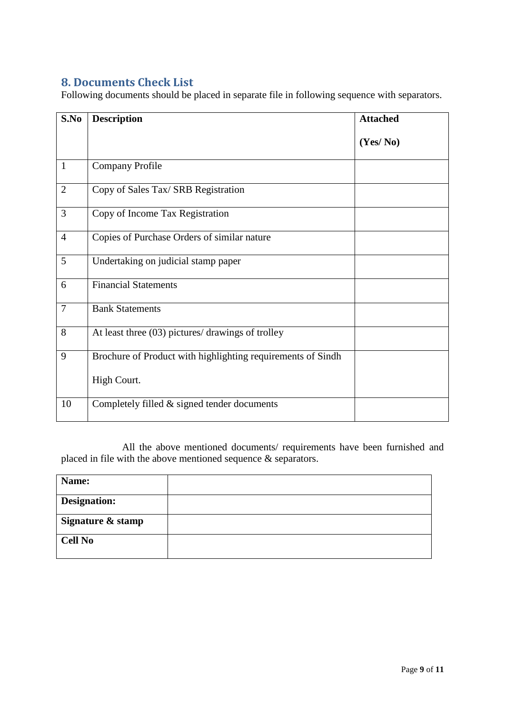#### <span id="page-8-0"></span>**8. Documents Check List**

Following documents should be placed in separate file in following sequence with separators.

| S.No           | <b>Description</b>                                          | <b>Attached</b> |
|----------------|-------------------------------------------------------------|-----------------|
|                |                                                             | (Yes/No)        |
| 1              | <b>Company Profile</b>                                      |                 |
| $\overline{2}$ | Copy of Sales Tax/ SRB Registration                         |                 |
| 3              | Copy of Income Tax Registration                             |                 |
| $\overline{4}$ | Copies of Purchase Orders of similar nature                 |                 |
| 5              | Undertaking on judicial stamp paper                         |                 |
| 6              | <b>Financial Statements</b>                                 |                 |
| $\overline{7}$ | <b>Bank Statements</b>                                      |                 |
| 8              | At least three (03) pictures/ drawings of trolley           |                 |
| 9              | Brochure of Product with highlighting requirements of Sindh |                 |
|                | High Court.                                                 |                 |
| 10             | Completely filled $&$ signed tender documents               |                 |

All the above mentioned documents/ requirements have been furnished and placed in file with the above mentioned sequence  $\&$  separators.

<span id="page-8-1"></span>

| Name:               |  |
|---------------------|--|
| <b>Designation:</b> |  |
| Signature & stamp   |  |
| <b>Cell No</b>      |  |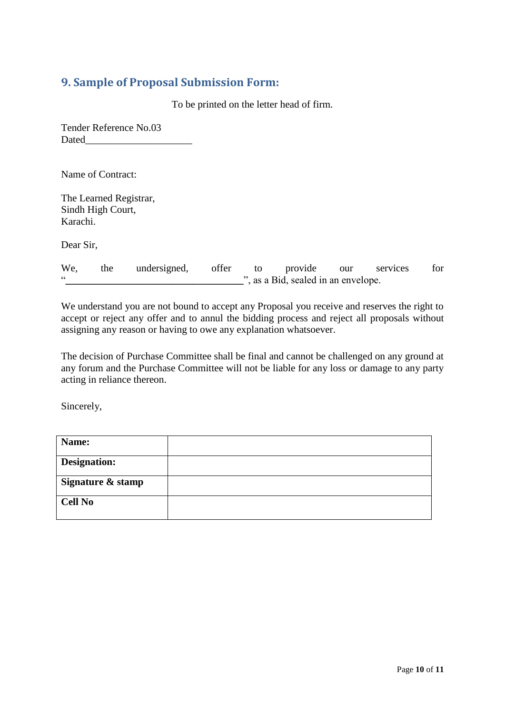#### **9. Sample of Proposal Submission Form:**

To be printed on the letter head of firm.

Tender Reference No.03 Dated\_\_\_\_\_\_\_\_\_\_\_\_\_\_\_\_\_\_\_\_\_

Name of Contract:

The Learned Registrar, Sindh High Court, Karachi.

Dear Sir,

| We, | the | undersigned, offer | to | provide                             | our | services | for |
|-----|-----|--------------------|----|-------------------------------------|-----|----------|-----|
|     |     |                    |    | ", as a Bid, sealed in an envelope. |     |          |     |

We understand you are not bound to accept any Proposal you receive and reserves the right to accept or reject any offer and to annul the bidding process and reject all proposals without assigning any reason or having to owe any explanation whatsoever.

The decision of Purchase Committee shall be final and cannot be challenged on any ground at any forum and the Purchase Committee will not be liable for any loss or damage to any party acting in reliance thereon.

Sincerely,

<span id="page-9-0"></span>

| Name:             |  |
|-------------------|--|
| Designation:      |  |
| Signature & stamp |  |
| <b>Cell No</b>    |  |